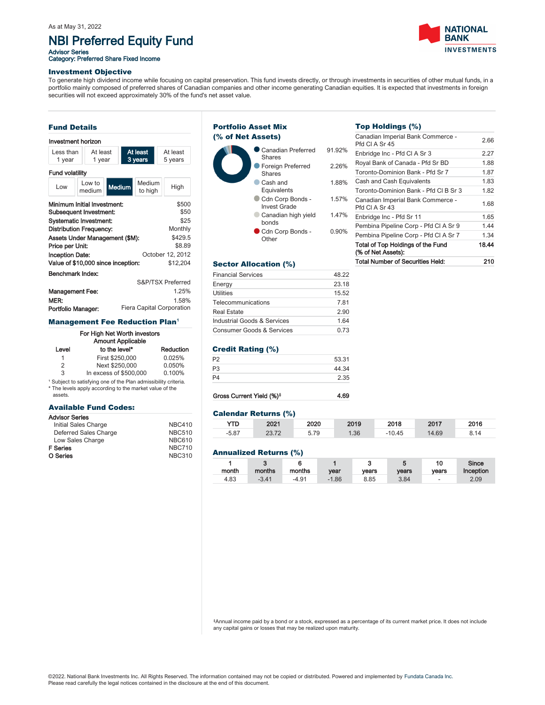# NBI Preferred Equity Fund

Advisor Series<br>Category: Preferred Share Fixed Income



### Investment Objective

To generate high dividend income while focusing on capital preservation. This fund invests directly, or through investments in securities of other mutual funds, in a portfolio mainly composed of preferred shares of Canadian companies and other income generating Canadian equities. It is expected that investments in foreign securities will not exceed approximately 30% of the fund's net asset value.

# Fund Details

# Investment horizon

| Less than<br>1 year                                   |  | At least<br>1 year |               |  | At least<br>3 years | At least<br>5 years |                   |  |
|-------------------------------------------------------|--|--------------------|---------------|--|---------------------|---------------------|-------------------|--|
| <b>Fund volatility</b>                                |  |                    |               |  |                     |                     |                   |  |
| Low                                                   |  | Low to<br>medium   | <b>Medium</b> |  | Medium<br>to high   |                     | High              |  |
| Minimum Initial Investment:<br>Subsequent Investment: |  |                    |               |  |                     |                     | \$500<br>\$50     |  |
| <b>Systematic Investment:</b>                         |  |                    |               |  |                     |                     | \$25              |  |
| Distribution Frequency:                               |  |                    |               |  |                     |                     | Monthly           |  |
| Assets Under Management (\$M):<br>Price per Unit:     |  |                    |               |  |                     |                     | \$429.5<br>\$8.89 |  |
| <b>Inception Date:</b>                                |  |                    |               |  |                     |                     | October 12, 2012  |  |
| Value of \$10,000 since inception:                    |  |                    |               |  |                     |                     | \$12.204          |  |
| Benchmark Index:                                      |  |                    |               |  |                     |                     |                   |  |
|                                                       |  |                    |               |  |                     |                     | S&P/TSX Preferred |  |
| <b>Management Fee:</b>                                |  |                    |               |  | 1.25%               |                     |                   |  |
| MER:                                                  |  |                    |               |  |                     | 1.58%               |                   |  |

# Portfolio Manager: Fiera Capital Corporation **Management Fee Reduction Plan<sup>1</sup>**

# For High Net Worth investors

| <b>Amount Applicable</b> |                        |           |  |  |  |  |
|--------------------------|------------------------|-----------|--|--|--|--|
| Level                    | to the level*          | Reduction |  |  |  |  |
| 1                        | First \$250,000        | 0.025%    |  |  |  |  |
| 2                        | Next \$250,000         | 0.050%    |  |  |  |  |
| 3                        | In excess of \$500,000 | 0.100%    |  |  |  |  |

<sup>1</sup> Subject to satisfying one of the Plan admissibility criteria. \* The levels apply according to the market value of the assets.

# Available Fund Codes:

#### Advisor Series

| Initial Sales Charge  | <b>NBC410</b> |
|-----------------------|---------------|
| Deferred Sales Charge | <b>NBC510</b> |
| Low Sales Charge      | <b>NBC610</b> |
| <b>F</b> Series       | <b>NBC710</b> |
| O Series              | <b>NBC310</b> |

#### Canadian Preferred Shares 91.92% **• Foreign Preferred Shares** 2.26% Cash and Equivalents 1.88% Cdn Corp Bonds -Invest Grade 1.57% Canadian high yield bonds 1.47% Cdn Corp Bonds -**Other** 0.90% Portfolio Asset Mix (% of Net Assets)

# Sector Allocation (%)

| <b>Financial Services</b>   | 48.22 |
|-----------------------------|-------|
| Energy                      | 23.18 |
| <b>Utilities</b>            | 15.52 |
| Telecommunications          | 7.81  |
| <b>Real Estate</b>          | 2.90  |
| Industrial Goods & Services | 1.64  |
| Consumer Goods & Services   | 0.73  |

# Credit Rating (%)

| P2 | 53.31 |
|----|-------|
| P3 | 44.34 |
| P4 | 2.35  |
|    |       |

# Gross Current Yield (%)<sup>‡</sup> 4.69

### Calendar Returns (%)

| YTD.    | 2021  | 2020 | 2019 | 2018     | 2017  | 2016 |
|---------|-------|------|------|----------|-------|------|
| $-5.87$ | 23.72 | 5.79 | 1.36 | $-10.45$ | 14.69 |      |

### Annualized Returns (%)

| month | ີ<br>months | months  | vear    | ۰<br>vears | vears | 10<br>vears | <b>Since</b><br>Inception |
|-------|-------------|---------|---------|------------|-------|-------------|---------------------------|
| 4.83  | $-3.41$     | $-4.91$ | $-1.86$ | 8.85       | 3.84  | ۰           | 2.09                      |

‡Annual income paid by a bond or a stock, expressed as a percentage of its current market price. It does not include any capital gains or losses that may be realized upon maturity.

# Top Holdings (%)

|        | <b>Total Number of Securities Held:</b>                   | 210   |
|--------|-----------------------------------------------------------|-------|
|        | Total of Top Holdings of the Fund<br>(% of Net Assets):   | 18.44 |
| ,<br>D | Pembina Pipeline Corp - Pfd CI A Sr 7                     | 1.34  |
|        | Pembina Pipeline Corp - Pfd CI A Sr 9                     | 1.44  |
| ,<br>D | Enbridge Inc - Pfd Sr 11                                  | 1.65  |
| ,<br>D | Canadian Imperial Bank Commerce -<br><b>Pfd CLA Sr 43</b> | 1.68  |
|        | Toronto-Dominion Bank - Pfd CI B Sr 3                     | 1.82  |
|        | Cash and Cash Equivalents                                 | 1.83  |
|        | Toronto-Dominion Bank - Pfd Sr 7                          | 1.87  |
|        | Royal Bank of Canada - Pfd Sr BD                          | 1.88  |
|        | Enbridge Inc - Pfd CI A Sr 3                              | 2.27  |
|        | Canadian Imperial Bank Commerce -<br>Pfd CI A Sr 45       | 2.66  |